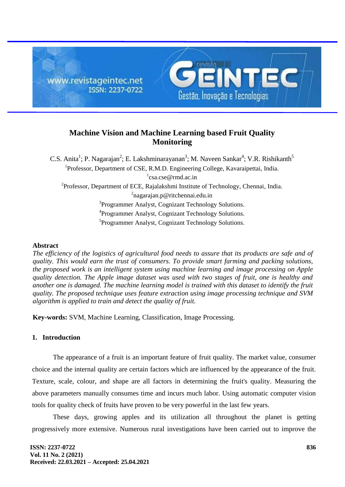

# **Machine Vision and Machine Learning based Fruit Quality Monitoring**

C.S. Anita<sup>1</sup>; P. Nagarajan<sup>2</sup>; E. Lakshminarayanan<sup>3</sup>; M. Naveen Sankar<sup>4</sup>; V.R. Rishikanth<sup>5</sup> <sup>1</sup>Professor, Department of CSE, R.M.D. Engineering College, Kavaraipettai, India. 1 [csa.cse@rmd.ac.in](mailto:csa.cse@rmd.ac.in) <sup>2</sup>Professor, Department of ECE, Rajalakshmi Institute of Technology, Chennai, India. <sup>2</sup>nagarajan.p@ritchennai.edu.in <sup>3</sup>Programmer Analyst, Cognizant Technology Solutions. 4 Programmer Analyst, Cognizant Technology Solutions. 5 Programmer Analyst, Cognizant Technology Solutions.

## **Abstract**

*The efficiency of the logistics of agricultural food needs to assure that its products are safe and of quality. This would earn the trust of consumers. To provide smart farming and packing solutions, the proposed work is an intelligent system using machine learning and image processing on Apple quality detection. The Apple image dataset was used with two stages of fruit, one is healthy and another one is damaged. The machine learning model is trained with this dataset to identify the fruit quality. The proposed technique uses feature extraction using image processing technique and SVM algorithm is applied to train and detect the quality of fruit.* 

**Key-words:** SVM, Machine Learning, Classification, Image Processing.

## **1. Introduction**

The appearance of a fruit is an important feature of fruit quality. The market value, consumer choice and the internal quality are certain factors which are influenced by the appearance of the fruit. Texture, scale, colour, and shape are all factors in determining the fruit's quality. Measuring the above parameters manually consumes time and incurs much labor. Using automatic computer vision tools for quality check of fruits have proven to be very powerful in the last few years.

These days, growing apples and its utilization all throughout the planet is getting progressively more extensive. Numerous rural investigations have been carried out to improve the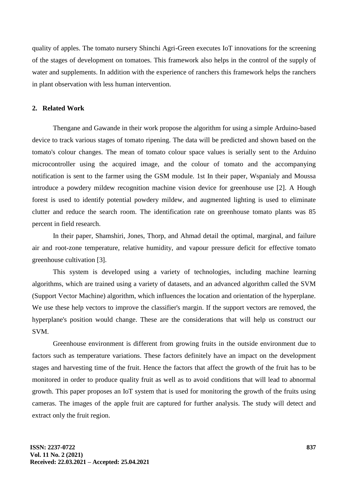quality of apples. The tomato nursery Shinchi Agri-Green executes IoT innovations for the screening of the stages of development on tomatoes. This framework also helps in the control of the supply of water and supplements. In addition with the experience of ranchers this framework helps the ranchers in plant observation with less human intervention.

#### **2. Related Work**

Thengane and Gawande in their work propose the algorithm for using a simple Arduino-based device to track various stages of tomato ripening. The data will be predicted and shown based on the tomato's colour changes. The mean of tomato colour space values is serially sent to the Arduino microcontroller using the acquired image, and the colour of tomato and the accompanying notification is sent to the farmer using the GSM module. 1st In their paper, Wspanialy and Moussa introduce a powdery mildew recognition machine vision device for greenhouse use [2]. A Hough forest is used to identify potential powdery mildew, and augmented lighting is used to eliminate clutter and reduce the search room. The identification rate on greenhouse tomato plants was 85 percent in field research.

In their paper, Shamshiri, Jones, Thorp, and Ahmad detail the optimal, marginal, and failure air and root-zone temperature, relative humidity, and vapour pressure deficit for effective tomato greenhouse cultivation [3].

This system is developed using a variety of technologies, including machine learning algorithms, which are trained using a variety of datasets, and an advanced algorithm called the SVM (Support Vector Machine) algorithm, which influences the location and orientation of the hyperplane. We use these help vectors to improve the classifier's margin. If the support vectors are removed, the hyperplane's position would change. These are the considerations that will help us construct our SVM.

Greenhouse environment is different from growing fruits in the outside environment due to factors such as temperature variations. These factors definitely have an impact on the development stages and harvesting time of the fruit. Hence the factors that affect the growth of the fruit has to be monitored in order to produce quality fruit as well as to avoid conditions that will lead to abnormal growth. This paper proposes an IoT system that is used for monitoring the growth of the fruits using cameras. The images of the apple fruit are captured for further analysis. The study will detect and extract only the fruit region.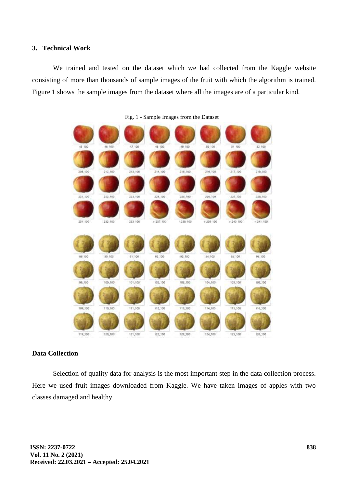#### **3. Technical Work**

We trained and tested on the dataset which we had collected from the Kaggle website consisting of more than thousands of sample images of the fruit with which the algorithm is trained. Figure 1 shows the sample images from the dataset where all the images are of a particular kind.



Fig. 1 - Sample Images from the Dataset

#### **Data Collection**

Selection of quality data for analysis is the most important step in the data collection process. Here we used fruit images downloaded from Kaggle. We have taken images of apples with two classes damaged and healthy.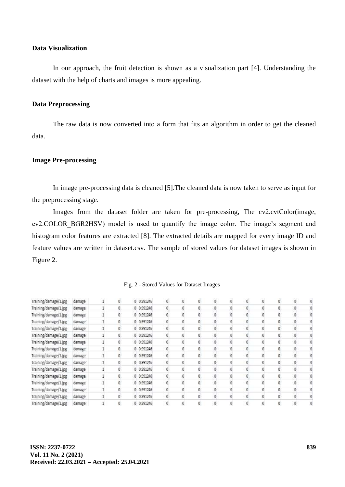# **Data Visualization**

In our approach, the fruit detection is shown as a visualization part [4]. Understanding the dataset with the help of charts and images is more appealing.

#### **Data Preprocessing**

The raw data is now converted into a form that fits an algorithm in order to get the cleaned data.

#### **Image Pre-processing**

In image pre-processing data is cleaned [5].The cleaned data is now taken to serve as input for the preprocessing stage.

Images from the dataset folder are taken for pre-processing, The cv2.cvtColor(image, cv2.COLOR\_BGR2HSV) model is used to quantify the image color. The image's segment and histogram color features are extracted [8]. The extracted details are mapped for every image ID and feature values are written in dataset.csv. The sample of stored values for dataset images is shown in Figure 2.

| Training/damage/1.jpg | damage | 0 | 0 0.991246 | o  | o | o | O. | Ø. | 0 | 0 | O. |  |
|-----------------------|--------|---|------------|----|---|---|----|----|---|---|----|--|
| Training/damage/1.jpg | damage |   | 0.991246   | ū. | 0 |   | 0  |    |   |   | O. |  |
| Training/damage/1.jpg | damage |   | 0 0.991246 |    | o |   |    |    |   |   | O. |  |
| Training/damage/1.jpg | damage |   | 0.991246   | o. | 0 |   | 0  |    | ø |   | o  |  |
| Training/damage/1.jpg | damage |   | 0 0.991246 |    | 0 |   | O. |    |   |   | O. |  |
| Training/damage/1.jpg | damage |   | 0.991246   |    | 0 |   |    |    |   |   | o  |  |
| Training/damage/1.jpg | damage |   | 0 0.991246 |    | 0 |   | ō  |    |   |   | O. |  |
| Training/damage/1.jpg | damage |   | 0.991246   |    |   |   |    |    |   |   |    |  |
| Training/damage/1.jpg | damage |   | 0 0.991246 | O  | 0 |   | O. |    |   |   | O. |  |
| Training/damage/1.jpg | damage |   | 0.991246   | O. | 0 |   | o  |    |   |   | 0  |  |
| Training/damage/1.jpg | damage |   | 0 0.991246 |    | 0 |   |    |    |   |   | O. |  |
| Training/damage/1.jpg | damage |   | 0.991246   | O. | 0 |   | o  |    |   |   | O. |  |
| Training/damage/1.jpg | damage |   | 0 0.991246 |    | 0 |   | Đ. |    |   |   | O. |  |
| Training/damage/1.jpg | damage |   | 0.991246   |    | 0 |   |    |    |   |   |    |  |
| Training/damage/1.jpg | damage |   | 0 0.991246 |    | o |   | Ω  |    |   |   | Ω  |  |
| Training/damage/1.jpg | damage |   | 0.991246   |    |   |   |    |    |   |   |    |  |

#### Fig. 2 - Stored Values for Dataset Images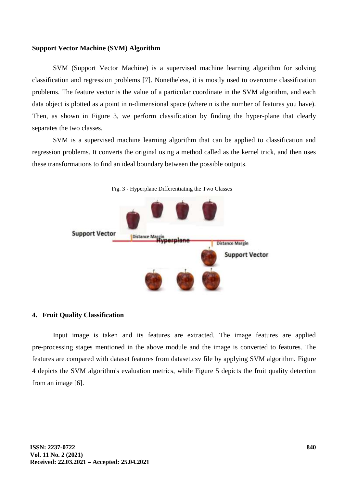#### **Support Vector Machine (SVM) Algorithm**

SVM (Support Vector Machine) is a supervised machine learning algorithm for solving classification and regression problems [7]. Nonetheless, it is mostly used to overcome classification problems. The feature vector is the value of a particular coordinate in the SVM algorithm, and each data object is plotted as a point in n-dimensional space (where n is the number of features you have). Then, as shown in Figure 3, we perform classification by finding the hyper-plane that clearly separates the two classes.

SVM is a supervised machine learning algorithm that can be applied to classification and regression problems. It converts the original using a method called as the kernel trick, and then uses these transformations to find an ideal boundary between the possible outputs.



Fig. 3 - Hyperplane Differentiating the Two Classes

#### **4. Fruit Quality Classification**

Input image is taken and its features are extracted. The image features are applied pre-processing stages mentioned in the above module and the image is converted to features. The features are compared with dataset features from dataset.csv file by applying SVM algorithm. Figure 4 depicts the SVM algorithm's evaluation metrics, while Figure 5 depicts the fruit quality detection from an image [6].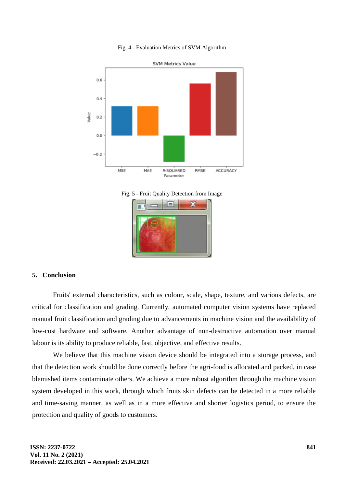#### Fig. 4 - Evaluation Metrics of SVM Algorithm







#### **5. Conclusion**

Fruits' external characteristics, such as colour, scale, shape, texture, and various defects, are critical for classification and grading. Currently, automated computer vision systems have replaced manual fruit classification and grading due to advancements in machine vision and the availability of low-cost hardware and software. Another advantage of non-destructive automation over manual labour is its ability to produce reliable, fast, objective, and effective results.

We believe that this machine vision device should be integrated into a storage process, and that the detection work should be done correctly before the agri-food is allocated and packed, in case blemished items contaminate others. We achieve a more robust algorithm through the machine vision system developed in this work, through which fruits skin defects can be detected in a more reliable and time-saving manner, as well as in a more effective and shorter logistics period, to ensure the protection and quality of goods to customers.